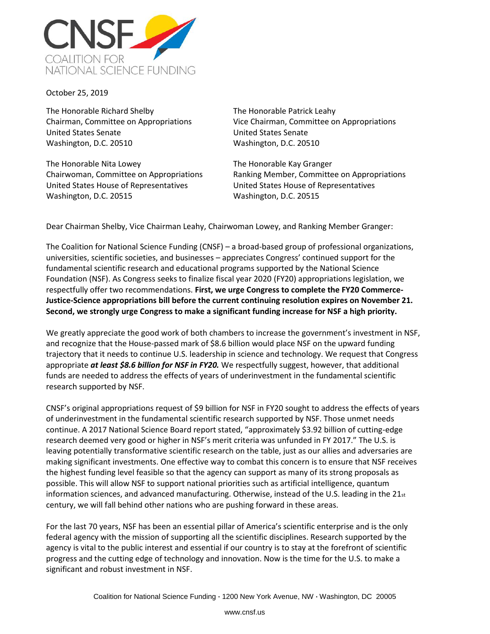

October 25, 2019

The Honorable Richard Shelby Chairman, Committee on Appropriations United States Senate Washington, D.C. 20510

The Honorable Nita Lowey Chairwoman, Committee on Appropriations United States House of Representatives Washington, D.C. 20515

The Honorable Patrick Leahy Vice Chairman, Committee on Appropriations United States Senate Washington, D.C. 20510

The Honorable Kay Granger Ranking Member, Committee on Appropriations United States House of Representatives Washington, D.C. 20515

Dear Chairman Shelby, Vice Chairman Leahy, Chairwoman Lowey, and Ranking Member Granger:

The Coalition for National Science Funding (CNSF) – a broad-based group of professional organizations, universities, scientific societies, and businesses – appreciates Congress' continued support for the fundamental scientific research and educational programs supported by the National Science Foundation (NSF). As Congress seeks to finalize fiscal year 2020 (FY20) appropriations legislation, we respectfully offer two recommendations. **First, we urge Congress to complete the FY20 Commerce-Justice-Science appropriations bill before the current continuing resolution expires on November 21. Second, we strongly urge Congress to make a significant funding increase for NSF a high priority.**

We greatly appreciate the good work of both chambers to increase the government's investment in NSF, and recognize that the House-passed mark of \$8.6 billion would place NSF on the upward funding trajectory that it needs to continue U.S. leadership in science and technology. We request that Congress appropriate *at least \$8.6 billion for NSF in FY20.* We respectfully suggest, however, that additional funds are needed to address the effects of years of underinvestment in the fundamental scientific research supported by NSF.

CNSF's original appropriations request of \$9 billion for NSF in FY20 sought to address the effects of years of underinvestment in the fundamental scientific research supported by NSF. Those unmet needs continue. A 2017 National Science Board report stated, "approximately \$3.92 billion of cutting-edge research deemed very good or higher in NSF's merit criteria was unfunded in FY 2017." The U.S. is leaving potentially transformative scientific research on the table, just as our allies and adversaries are making significant investments. One effective way to combat this concern is to ensure that NSF receives the highest funding level feasible so that the agency can support as many of its strong proposals as possible. This will allow NSF to support national priorities such as artificial intelligence, quantum information sciences, and advanced manufacturing. Otherwise, instead of the U.S. leading in the  $21_{st}$ century, we will fall behind other nations who are pushing forward in these areas.

For the last 70 years, NSF has been an essential pillar of America's scientific enterprise and is the only federal agency with the mission of supporting all the scientific disciplines. Research supported by the agency is vital to the public interest and essential if our country is to stay at the forefront of scientific progress and the cutting edge of technology and innovation. Now is the time for the U.S. to make a significant and robust investment in NSF.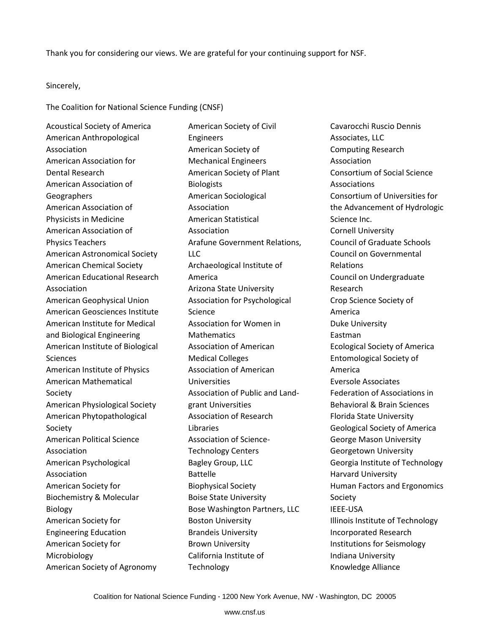Thank you for considering our views. We are grateful for your continuing support for NSF.

Sincerely,

The Coalition for National Science Funding (CNSF)

Acoustical Society of America American Anthropological Association American Association for Dental Research American Association of **Geographers** American Association of Physicists in Medicine American Association of Physics Teachers American Astronomical Society American Chemical Society American Educational Research Association American Geophysical Union American Geosciences Institute American Institute for Medical and Biological Engineering American Institute of Biological Sciences American Institute of Physics American Mathematical Society American Physiological Society American Phytopathological Society American Political Science Association American Psychological Association American Society for Biochemistry & Molecular Biology American Society for Engineering Education American Society for Microbiology American Society of Agronomy

American Society of Civil Engineers American Society of Mechanical Engineers American Society of Plant Biologists American Sociological Association American Statistical Association Arafune Government Relations, LLC Archaeological Institute of America Arizona State University Association for Psychological Science Association for Women in **Mathematics** Association of American Medical Colleges Association of American Universities Association of Public and Landgrant Universities Association of Research Libraries Association of Science-Technology Centers Bagley Group, LLC Battelle Biophysical Society Boise State University Bose Washington Partners, LLC Boston University Brandeis University Brown University California Institute of **Technology** 

Cavarocchi Ruscio Dennis Associates, LLC Computing Research Association Consortium of Social Science Associations Consortium of Universities for the Advancement of Hydrologic Science Inc. Cornell University Council of Graduate Schools Council on Governmental Relations Council on Undergraduate Research Crop Science Society of America Duke University Eastman Ecological Society of America Entomological Society of America Eversole Associates Federation of Associations in Behavioral & Brain Sciences Florida State University Geological Society of America George Mason University Georgetown University Georgia Institute of Technology Harvard University Human Factors and Ergonomics Society IEEE-USA Illinois Institute of Technology Incorporated Research Institutions for Seismology Indiana University Knowledge Alliance